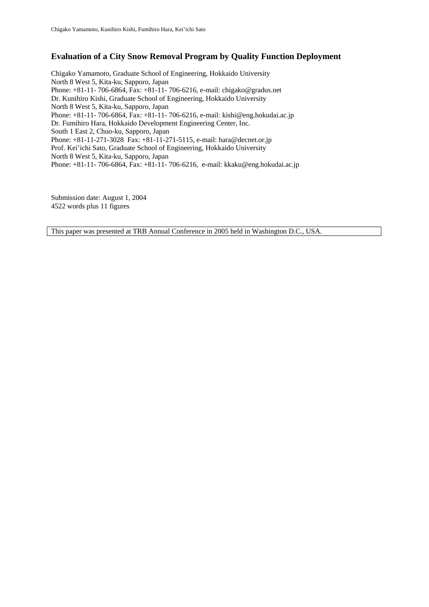# **Evaluation of a City Snow Removal Program by Quality Function Deployment**

Chigako Yamamoto, Graduate School of Engineering, Hokkaido University North 8 West 5, Kita-ku, Sapporo, Japan Phone: +81-11- 706-6864, Fax: +81-11- 706-6216, e-mail: chigako@gradus.net Dr. Kunihiro Kishi, Graduate School of Engineering, Hokkaido University North 8 West 5, Kita-ku, Sapporo, Japan Phone: +81-11- 706-6864, Fax: +81-11- 706-6216, e-mail: kishi@eng.hokudai.ac.jp Dr. Fumihiro Hara, Hokkaido Development Engineering Center, Inc. South 1 East 2, Chuo-ku, Sapporo, Japan Phone: +81-11-271-3028 Fax: +81-11-271-5115, e-mail: hara@decnet.or.jp Prof. Kei'ichi Sato, Graduate School of Engineering, Hokkaido University North 8 West 5, Kita-ku, Sapporo, Japan Phone: +81-11- 706-6864, Fax: +81-11- 706-6216, e-mail: kkaku@eng.hokudai.ac.jp

Submission date: August 1, 2004 4522 words plus 11 figures

This paper was presented at TRB Annual Conference in 2005 held in Washington D.C., USA.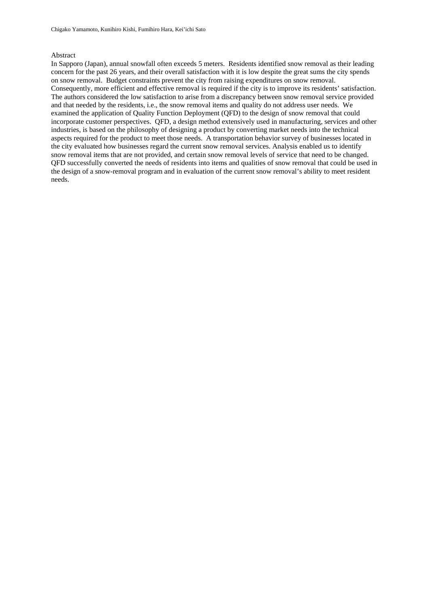### Abstract

In Sapporo (Japan), annual snowfall often exceeds 5 meters. Residents identified snow removal as their leading concern for the past 26 years, and their overall satisfaction with it is low despite the great sums the city spends on snow removal. Budget constraints prevent the city from raising expenditures on snow removal. Consequently, more efficient and effective removal is required if the city is to improve its residents' satisfaction. The authors considered the low satisfaction to arise from a discrepancy between snow removal service provided and that needed by the residents, i.e., the snow removal items and quality do not address user needs. We examined the application of Quality Function Deployment (QFD) to the design of snow removal that could incorporate customer perspectives. QFD, a design method extensively used in manufacturing, services and other industries, is based on the philosophy of designing a product by converting market needs into the technical aspects required for the product to meet those needs. A transportation behavior survey of businesses located in the city evaluated how businesses regard the current snow removal services. Analysis enabled us to identify snow removal items that are not provided, and certain snow removal levels of service that need to be changed. QFD successfully converted the needs of residents into items and qualities of snow removal that could be used in the design of a snow-removal program and in evaluation of the current snow removal's ability to meet resident needs.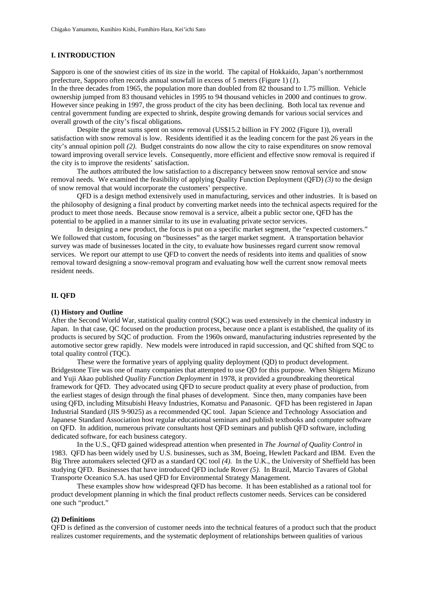### **I. INTRODUCTION**

Sapporo is one of the snowiest cities of its size in the world. The capital of Hokkaido, Japan's northernmost prefecture, Sapporo often records annual snowfall in excess of 5 meters (Figure 1) (*1*).

In the three decades from 1965, the population more than doubled from 82 thousand to 1.75 million. Vehicle ownership jumped from 83 thousand vehicles in 1995 to 94 thousand vehicles in 2000 and continues to grow. However since peaking in 1997, the gross product of the city has been declining. Both local tax revenue and central government funding are expected to shrink, despite growing demands for various social services and overall growth of the city's fiscal obligations.

 Despite the great sums spent on snow removal (US\$15.2 billion in FY 2002 (Figure 1)), overall satisfaction with snow removal is low. Residents identified it as the leading concern for the past 26 years in the city's annual opinion poll *(2)*. Budget constraints do now allow the city to raise expenditures on snow removal toward improving overall service levels. Consequently, more efficient and effective snow removal is required if the city is to improve the residents' satisfaction.

 The authors attributed the low satisfaction to a discrepancy between snow removal service and snow removal needs. We examined the feasibility of applying Quality Function Deployment (QFD) *(3)* to the design of snow removal that would incorporate the customers' perspective.

 QFD is a design method extensively used in manufacturing, services and other industries. It is based on the philosophy of designing a final product by converting market needs into the technical aspects required for the product to meet those needs. Because snow removal is a service, albeit a public sector one, QFD has the potential to be applied in a manner similar to its use in evaluating private sector services.

 In designing a new product, the focus is put on a specific market segment, the "expected customers." We followed that custom, focusing on "businesses" as the target market segment. A transportation behavior survey was made of businesses located in the city, to evaluate how businesses regard current snow removal services. We report our attempt to use QFD to convert the needs of residents into items and qualities of snow removal toward designing a snow-removal program and evaluating how well the current snow removal meets resident needs.

## **II. QFD**

#### **(1) History and Outline**

After the Second World War, statistical quality control (SQC) was used extensively in the chemical industry in Japan. In that case, QC focused on the production process, because once a plant is established, the quality of its products is secured by SQC of production. From the 1960s onward, manufacturing industries represented by the automotive sector grew rapidly. New models were introduced in rapid succession, and QC shifted from SQC to total quality control (TQC).

These were the formative years of applying quality deployment (QD) to product development. Bridgestone Tire was one of many companies that attempted to use QD for this purpose. When Shigeru Mizuno and Yuji Akao published *Quality Function Deployment* in 1978, it provided a groundbreaking theoretical framework for QFD. They advocated using QFD to secure product quality at every phase of production, from the earliest stages of design through the final phases of development. Since then, many companies have been using QFD, including Mitsubishi Heavy Industries, Komatsu and Panasonic. QFD has been registered in Japan Industrial Standard (JIS 9-9025) as a recommended QC tool. Japan Science and Technology Association and Japanese Standard Association host regular educational seminars and publish textbooks and computer software on QFD. In addition, numerous private consultants host QFD seminars and publish QFD software, including dedicated software, for each business category.

In the U.S., QFD gained widespread attention when presented in *The Journal of Quality Control* in 1983. QFD has been widely used by U.S. businesses, such as 3M, Boeing, Hewlett Packard and IBM. Even the Big Three automakers selected QFD as a standard QC tool *(4)*. In the U.K., the University of Sheffield has been studying QFD. Businesses that have introduced QFD include Rover *(5)*. In Brazil, Marcio Tavares of Global Transporte Oceanico S.A. has used QFD for Environmental Strategy Management.

These examples show how widespread QFD has become. It has been established as a rational tool for product development planning in which the final product reflects customer needs. Services can be considered one such "product."

#### **(2) Definitions**

QFD is defined as the conversion of customer needs into the technical features of a product such that the product realizes customer requirements, and the systematic deployment of relationships between qualities of various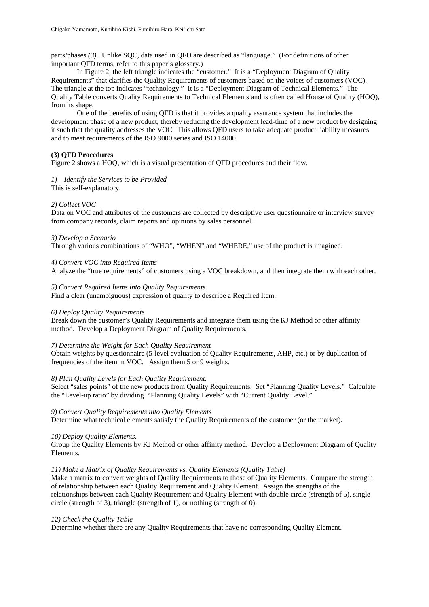parts/phases *(3)*. Unlike SQC, data used in QFD are described as "language." (For definitions of other important QFD terms, refer to this paper's glossary.)

In Figure 2, the left triangle indicates the "customer." It is a "Deployment Diagram of Quality Requirements" that clarifies the Quality Requirements of customers based on the voices of customers (VOC). The triangle at the top indicates "technology." It is a "Deployment Diagram of Technical Elements." The Quality Table converts Quality Requirements to Technical Elements and is often called House of Quality (HOQ), from its shape.

One of the benefits of using QFD is that it provides a quality assurance system that includes the development phase of a new product, thereby reducing the development lead-time of a new product by designing it such that the quality addresses the VOC. This allows QFD users to take adequate product liability measures and to meet requirements of the ISO 9000 series and ISO 14000.

## **(3) QFD Procedures**

Figure 2 shows a HOQ, which is a visual presentation of QFD procedures and their flow.

*1) Identify the Services to be Provided*  This is self-explanatory.

## *2) Collect VOC*

Data on VOC and attributes of the customers are collected by descriptive user questionnaire or interview survey from company records, claim reports and opinions by sales personnel.

### *3) Develop a Scenario*

Through various combinations of "WHO", "WHEN" and "WHERE," use of the product is imagined.

### *4) Convert VOC into Required Items*

Analyze the "true requirements" of customers using a VOC breakdown, and then integrate them with each other.

## *5) Convert Required Items into Quality Requirements*

Find a clear (unambiguous) expression of quality to describe a Required Item.

### *6) Deploy Quality Requirements*

Break down the customer's Quality Requirements and integrate them using the KJ Method or other affinity method. Develop a Deployment Diagram of Quality Requirements.

### *7) Determine the Weight for Each Quality Requirement*

Obtain weights by questionnaire (5-level evaluation of Quality Requirements, AHP, etc.) or by duplication of frequencies of the item in VOC. Assign them 5 or 9 weights.

### *8) Plan Quality Levels for Each Quality Requirement.*

Select "sales points" of the new products from Quality Requirements. Set "Planning Quality Levels." Calculate the "Level-up ratio" by dividing "Planning Quality Levels" with "Current Quality Level."

### *9) Convert Quality Requirements into Quality Elements*

Determine what technical elements satisfy the Quality Requirements of the customer (or the market).

### *10) Deploy Quality Elements*.

Group the Quality Elements by KJ Method or other affinity method. Develop a Deployment Diagram of Quality Elements.

## *11) Make a Matrix of Quality Requirements vs. Quality Elements (Quality Table)*

Make a matrix to convert weights of Quality Requirements to those of Quality Elements. Compare the strength of relationship between each Quality Requirement and Quality Element. Assign the strengths of the relationships between each Quality Requirement and Quality Element with double circle (strength of 5), single circle (strength of 3), triangle (strength of 1), or nothing (strength of 0).

## *12) Check the Quality Table*

Determine whether there are any Quality Requirements that have no corresponding Quality Element.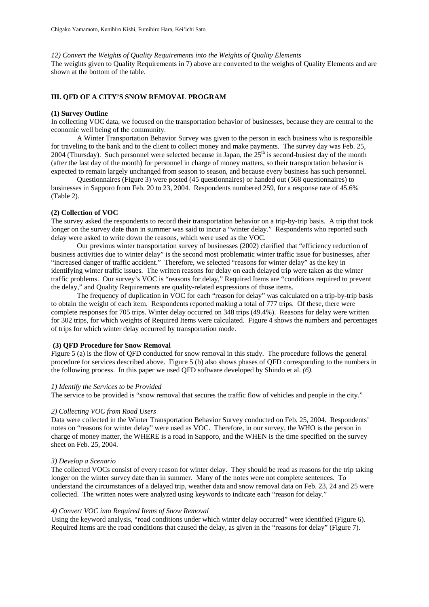*12) Convert the Weights of Quality Requirements into the Weights of Quality Elements* 

The weights given to Quality Requirements in 7) above are converted to the weights of Quality Elements and are shown at the bottom of the table.

#### **III. QFD OF A CITY'S SNOW REMOVAL PROGRAM**

#### **(1) Survey Outline**

In collecting VOC data, we focused on the transportation behavior of businesses, because they are central to the economic well being of the community.

A Winter Transportation Behavior Survey was given to the person in each business who is responsible for traveling to the bank and to the client to collect money and make payments. The survey day was Feb. 25, 2004 (Thursday). Such personnel were selected because in Japan, the  $25<sup>th</sup>$  is second-busiest day of the month (after the last day of the month) for personnel in charge of money matters, so their transportation behavior is expected to remain largely unchanged from season to season, and because every business has such personnel.

Questionnaires (Figure 3) were posted (45 questionnaires) or handed out (568 questionnaires) to businesses in Sapporo from Feb. 20 to 23, 2004. Respondents numbered 259, for a response rate of 45.6% (Table 2).

### **(2) Collection of VOC**

The survey asked the respondents to record their transportation behavior on a trip-by-trip basis. A trip that took longer on the survey date than in summer was said to incur a "winter delay." Respondents who reported such delay were asked to write down the reasons, which were used as the VOC.

Our previous winter transportation survey of businesses (2002) clarified that "efficiency reduction of business activities due to winter delay" is the second most problematic winter traffic issue for businesses, after "increased danger of traffic accident." Therefore, we selected "reasons for winter delay" as the key in identifying winter traffic issues. The written reasons for delay on each delayed trip were taken as the winter traffic problems. Our survey's VOC is "reasons for delay," Required Items are "conditions required to prevent the delay," and Quality Requirements are quality-related expressions of those items.

The frequency of duplication in VOC for each "reason for delay" was calculated on a trip-by-trip basis to obtain the weight of each item. Respondents reported making a total of 777 trips. Of these, there were complete responses for 705 trips. Winter delay occurred on 348 trips (49.4%). Reasons for delay were written for 302 trips, for which weights of Required Items were calculated. Figure 4 shows the numbers and percentages of trips for which winter delay occurred by transportation mode.

#### **(3) QFD Procedure for Snow Removal**

Figure 5 (a) is the flow of QFD conducted for snow removal in this study. The procedure follows the general procedure for services described above. Figure 5 (b) also shows phases of QFD corresponding to the numbers in the following process. In this paper we used QFD software developed by Shindo et al. *(6)*.

#### *1) Identify the Services to be Provided*

The service to be provided is "snow removal that secures the traffic flow of vehicles and people in the city."

#### *2) Collecting VOC from Road Users*

Data were collected in the Winter Transportation Behavior Survey conducted on Feb. 25, 2004. Respondents' notes on "reasons for winter delay" were used as VOC. Therefore, in our survey, the WHO is the person in charge of money matter, the WHERE is a road in Sapporo, and the WHEN is the time specified on the survey sheet on Feb. 25, 2004.

### *3) Develop a Scenario*

The collected VOCs consist of every reason for winter delay. They should be read as reasons for the trip taking longer on the winter survey date than in summer. Many of the notes were not complete sentences. To understand the circumstances of a delayed trip, weather data and snow removal data on Feb. 23, 24 and 25 were collected. The written notes were analyzed using keywords to indicate each "reason for delay."

### *4) Convert VOC into Required Items of Snow Removal*

Using the keyword analysis, "road conditions under which winter delay occurred" were identified (Figure 6). Required Items are the road conditions that caused the delay, as given in the "reasons for delay" (Figure 7).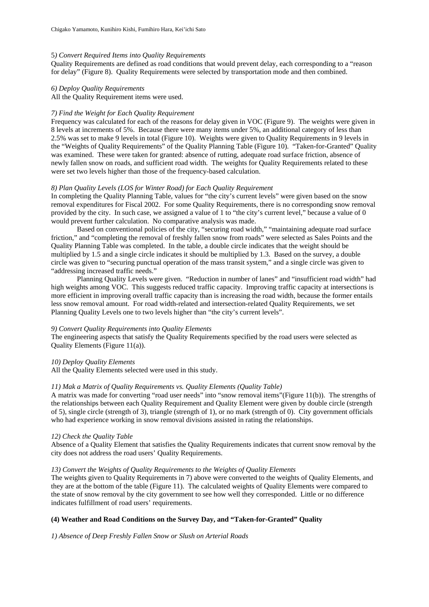### 5*) Convert Required Items into Quality Requirements*

Quality Requirements are defined as road conditions that would prevent delay, each corresponding to a "reason for delay" (Figure 8). Quality Requirements were selected by transportation mode and then combined.

### *6) Deploy Quality Requirements*

All the Quality Requirement items were used.

### *7) Find the Weight for Each Quality Requirement*

Frequency was calculated for each of the reasons for delay given in VOC (Figure 9). The weights were given in 8 levels at increments of 5%. Because there were many items under 5%, an additional category of less than 2.5% was set to make 9 levels in total (Figure 10). Weights were given to Quality Requirements in 9 levels in the "Weights of Quality Requirements" of the Quality Planning Table (Figure 10). "Taken-for-Granted" Quality was examined. These were taken for granted: absence of rutting, adequate road surface friction, absence of newly fallen snow on roads, and sufficient road width. The weights for Quality Requirements related to these were set two levels higher than those of the frequency-based calculation.

### *8) Plan Quality Levels (LOS for Winter Road) for Each Quality Requirement*

In completing the Quality Planning Table, values for "the city's current levels" were given based on the snow removal expenditures for Fiscal 2002. For some Quality Requirements, there is no corresponding snow removal provided by the city. In such case, we assigned a value of 1 to "the city's current level," because a value of 0 would prevent further calculation. No comparative analysis was made.

Based on conventional policies of the city, "securing road width," "maintaining adequate road surface friction," and "completing the removal of freshly fallen snow from roads" were selected as Sales Points and the Quality Planning Table was completed. In the table, a double circle indicates that the weight should be multiplied by 1.5 and a single circle indicates it should be multiplied by 1.3. Based on the survey, a double circle was given to "securing punctual operation of the mass transit system," and a single circle was given to "addressing increased traffic needs."

Planning Quality Levels were given. "Reduction in number of lanes" and "insufficient road width" had high weights among VOC. This suggests reduced traffic capacity. Improving traffic capacity at intersections is more efficient in improving overall traffic capacity than is increasing the road width, because the former entails less snow removal amount. For road width-related and intersection-related Quality Requirements, we set Planning Quality Levels one to two levels higher than "the city's current levels".

## *9) Convert Quality Requirements into Quality Elements*

The engineering aspects that satisfy the Quality Requirements specified by the road users were selected as Quality Elements (Figure 11(a)).

### *10) Deploy Quality Elements*

All the Quality Elements selected were used in this study.

### *11) Mak a Matrix of Quality Requirements vs. Quality Elements (Quality Table)*

A matrix was made for converting "road user needs" into "snow removal items"(Figure 11(b)). The strengths of the relationships between each Quality Requirement and Quality Element were given by double circle (strength of 5), single circle (strength of 3), triangle (strength of 1), or no mark (strength of 0). City government officials who had experience working in snow removal divisions assisted in rating the relationships.

### *12) Check the Quality Table*

Absence of a Quality Element that satisfies the Quality Requirements indicates that current snow removal by the city does not address the road users' Quality Requirements.

### *13) Convert the Weights of Quality Requirements to the Weights of Quality Elements*

The weights given to Quality Requirements in 7) above were converted to the weights of Quality Elements, and they are at the bottom of the table (Figure 11). The calculated weights of Quality Elements were compared to the state of snow removal by the city government to see how well they corresponded. Little or no difference indicates fulfillment of road users' requirements.

## **(4) Weather and Road Conditions on the Survey Day, and "Taken-for-Granted" Quality**

*1) Absence of Deep Freshly Fallen Snow or Slush on Arterial Roads*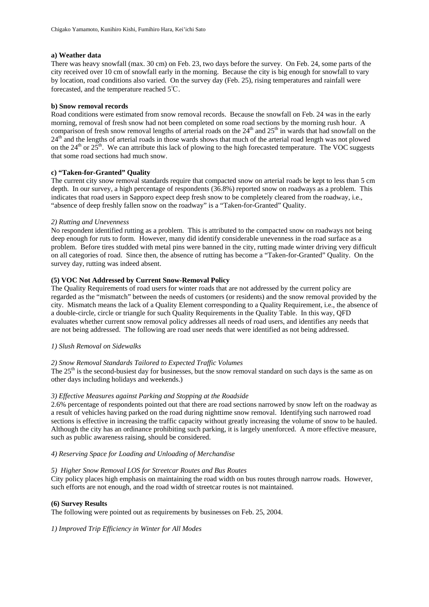## **a) Weather data**

There was heavy snowfall (max. 30 cm) on Feb. 23, two days before the survey. On Feb. 24, some parts of the city received over 10 cm of snowfall early in the morning. Because the city is big enough for snowfall to vary by location, road conditions also varied. On the survey day (Feb. 25), rising temperatures and rainfall were forecasted, and the temperature reached 5℃.

### **b) Snow removal records**

Road conditions were estimated from snow removal records. Because the snowfall on Feb. 24 was in the early morning, removal of fresh snow had not been completed on some road sections by the morning rush hour. A comparison of fresh snow removal lengths of arterial roads on the  $24<sup>th</sup>$  and  $25<sup>th</sup>$  in wards that had snowfall on the 24<sup>th</sup> and the lengths of arterial roads in those wards shows that much of the arterial road length was not plowed on the  $24<sup>th</sup>$  or  $25<sup>th</sup>$ . We can attribute this lack of plowing to the high forecasted temperature. The VOC suggests that some road sections had much snow.

### **c) "Taken-for-Granted" Quality**

The current city snow removal standards require that compacted snow on arterial roads be kept to less than 5 cm depth. In our survey, a high percentage of respondents (36.8%) reported snow on roadways as a problem. This indicates that road users in Sapporo expect deep fresh snow to be completely cleared from the roadway, i.e., "absence of deep freshly fallen snow on the roadway" is a "Taken-for-Granted" Quality.

### *2) Rutting and Unevenness*

No respondent identified rutting as a problem. This is attributed to the compacted snow on roadways not being deep enough for ruts to form. However, many did identify considerable unevenness in the road surface as a problem. Before tires studded with metal pins were banned in the city, rutting made winter driving very difficult on all categories of road. Since then, the absence of rutting has become a "Taken-for-Granted" Quality. On the survey day, rutting was indeed absent.

### **(5) VOC Not Addressed by Current Snow-Removal Policy**

The Quality Requirements of road users for winter roads that are not addressed by the current policy are regarded as the "mismatch" between the needs of customers (or residents) and the snow removal provided by the city. Mismatch means the lack of a Quality Element corresponding to a Quality Requirement, i.e., the absence of a double-circle, circle or triangle for such Quality Requirements in the Quality Table. In this way, QFD evaluates whether current snow removal policy addresses all needs of road users, and identifies any needs that are not being addressed. The following are road user needs that were identified as not being addressed.

### *1) Slush Removal on Sidewalks*

### *2) Snow Removal Standards Tailored to Expected Traffic Volumes*

The  $25<sup>th</sup>$  is the second-busiest day for businesses, but the snow removal standard on such days is the same as on other days including holidays and weekends.)

### *3) Effective Measures against Parking and Stopping at the Roadside*

2.6% percentage of respondents pointed out that there are road sections narrowed by snow left on the roadway as a result of vehicles having parked on the road during nighttime snow removal. Identifying such narrowed road sections is effective in increasing the traffic capacity without greatly increasing the volume of snow to be hauled. Although the city has an ordinance prohibiting such parking, it is largely unenforced. A more effective measure, such as public awareness raising, should be considered.

### *4) Reserving Space for Loading and Unloading of Merchandise*

### *5) Higher Snow Removal LOS for Streetcar Routes and Bus Routes*

City policy places high emphasis on maintaining the road width on bus routes through narrow roads. However, such efforts are not enough, and the road width of streetcar routes is not maintained.

### **(6) Survey Results**

The following were pointed out as requirements by businesses on Feb. 25, 2004.

*1) Improved Trip Efficiency in Winter for All Modes*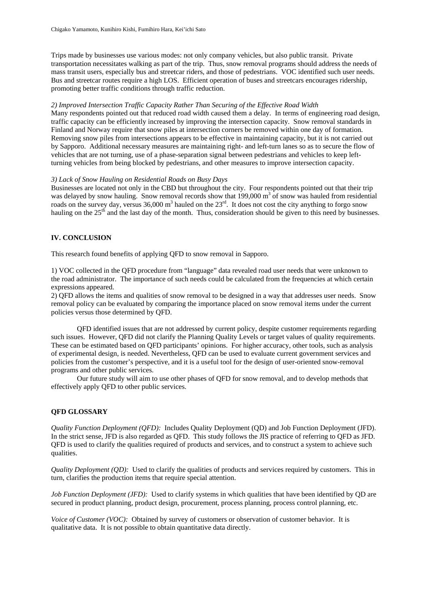Trips made by businesses use various modes: not only company vehicles, but also public transit. Private transportation necessitates walking as part of the trip. Thus, snow removal programs should address the needs of mass transit users, especially bus and streetcar riders, and those of pedestrians. VOC identified such user needs. Bus and streetcar routes require a high LOS. Efficient operation of buses and streetcars encourages ridership, promoting better traffic conditions through traffic reduction.

### *2) Improved Intersection Traffic Capacity Rather Than Securing of the Effective Road Width*

Many respondents pointed out that reduced road width caused them a delay. In terms of engineering road design, traffic capacity can be efficiently increased by improving the intersection capacity. Snow removal standards in Finland and Norway require that snow piles at intersection corners be removed within one day of formation. Removing snow piles from intersections appears to be effective in maintaining capacity, but it is not carried out by Sapporo. Additional necessary measures are maintaining right- and left-turn lanes so as to secure the flow of vehicles that are not turning, use of a phase-separation signal between pedestrians and vehicles to keep leftturning vehicles from being blocked by pedestrians, and other measures to improve intersection capacity.

### *3) Lack of Snow Hauling on Residential Roads on Busy Days*

Businesses are located not only in the CBD but throughout the city. Four respondents pointed out that their trip was delayed by snow hauling. Snow removal records show that  $199,000 \text{ m}^3$  of snow was hauled from residential roads on the survey day, versus  $36,000 \text{ m}^3$  hauled on the  $23^{\text{rd}}$ . It does not cost the city anything to forgo snow hauling on the  $25<sup>th</sup>$  and the last day of the month. Thus, consideration should be given to this need by businesses.

## **IV. CONCLUSION**

This research found benefits of applying QFD to snow removal in Sapporo.

1) VOC collected in the QFD procedure from "language" data revealed road user needs that were unknown to the road administrator. The importance of such needs could be calculated from the frequencies at which certain expressions appeared.

2) QFD allows the items and qualities of snow removal to be designed in a way that addresses user needs. Snow removal policy can be evaluated by comparing the importance placed on snow removal items under the current policies versus those determined by QFD.

 QFD identified issues that are not addressed by current policy, despite customer requirements regarding such issues. However, QFD did not clarify the Planning Quality Levels or target values of quality requirements. These can be estimated based on QFD participants' opinions. For higher accuracy, other tools, such as analysis of experimental design, is needed. Nevertheless, QFD can be used to evaluate current government services and policies from the customer's perspective, and it is a useful tool for the design of user-oriented snow-removal programs and other public services.

 Our future study will aim to use other phases of QFD for snow removal, and to develop methods that effectively apply QFD to other public services.

# **QFD GLOSSARY**

*Quality Function Deployment (QFD):* Includes Quality Deployment (QD) and Job Function Deployment (JFD). In the strict sense, JFD is also regarded as QFD. This study follows the JIS practice of referring to QFD as JFD. QFD is used to clarify the qualities required of products and services, and to construct a system to achieve such qualities.

*Quality Deployment (QD):* Used to clarify the qualities of products and services required by customers. This in turn, clarifies the production items that require special attention.

*Job Function Deployment (JFD):* Used to clarify systems in which qualities that have been identified by QD are secured in product planning, product design, procurement, process planning, process control planning, etc.

*Voice of Customer (VOC):* Obtained by survey of customers or observation of customer behavior. It is qualitative data. It is not possible to obtain quantitative data directly.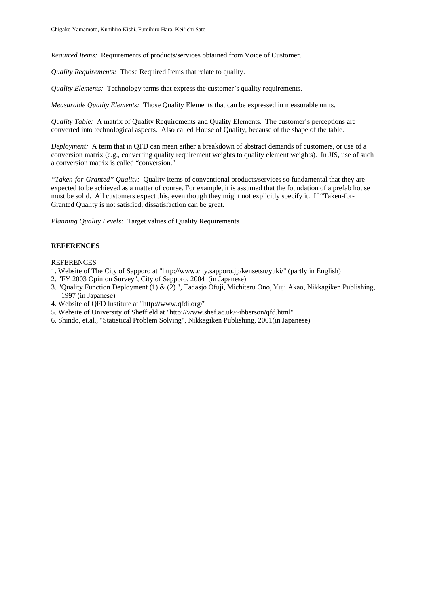*Required Items:* Requirements of products/services obtained from Voice of Customer.

*Quality Requirements:* Those Required Items that relate to quality.

*Quality Elements:* Technology terms that express the customer's quality requirements.

*Measurable Quality Elements:* Those Quality Elements that can be expressed in measurable units.

*Quality Table:* A matrix of Quality Requirements and Quality Elements. The customer's perceptions are converted into technological aspects. Also called House of Quality, because of the shape of the table.

*Deployment:* A term that in QFD can mean either a breakdown of abstract demands of customers, or use of a conversion matrix (e.g., converting quality requirement weights to quality element weights). In JIS, use of such a conversion matrix is called "conversion."

*"Taken-for-Granted" Quality:* Quality Items of conventional products/services so fundamental that they are expected to be achieved as a matter of course. For example, it is assumed that the foundation of a prefab house must be solid. All customers expect this, even though they might not explicitly specify it. If "Taken-for-Granted Quality is not satisfied, dissatisfaction can be great.

*Planning Quality Levels:* Target values of Quality Requirements

### **REFERENCES**

#### REFERENCES

- 1. Website of The City of Sapporo at "http://www.city.sapporo.jp/kensetsu/yuki/" (partly in English)
- 2. "FY 2003 Opinion Survey", City of Sapporo, 2004 (in Japanese)
- 3. "Quality Function Deployment (1) & (2) ", Tadasjo Ofuji, Michiteru Ono, Yuji Akao, Nikkagiken Publishing, 1997 (in Japanese)
- 4. Website of QFD Institute at "http://www.qfdi.org/"
- 5. Website of University of Sheffield at "http://www.shef.ac.uk/~ibberson/qfd.html"
- 6. Shindo, et.al., "Statistical Problem Solving", Nikkagiken Publishing, 2001(in Japanese)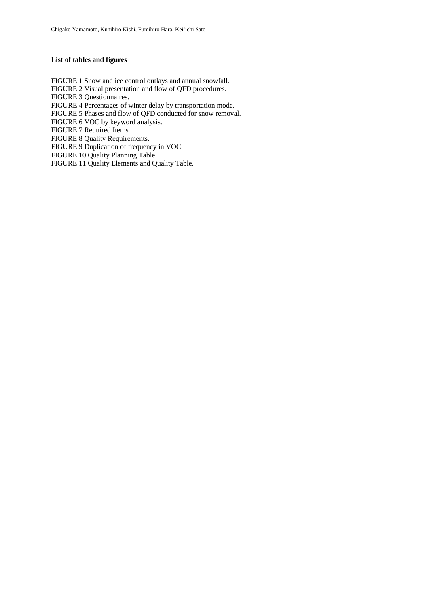## **List of tables and figures**

FIGURE 1 Snow and ice control outlays and annual snowfall. FIGURE 2 Visual presentation and flow of QFD procedures. FIGURE 3 Questionnaires. FIGURE 4 Percentages of winter delay by transportation mode. FIGURE 5 Phases and flow of QFD conducted for snow removal. FIGURE 6 VOC by keyword analysis. FIGURE 7 Required Items FIGURE 8 Quality Requirements. FIGURE 9 Duplication of frequency in VOC. FIGURE 10 Quality Planning Table.

FIGURE 11 Quality Elements and Quality Table.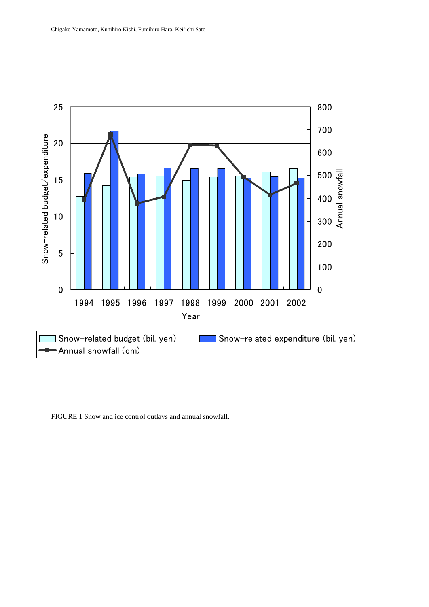

FIGURE 1 Snow and ice control outlays and annual snowfall.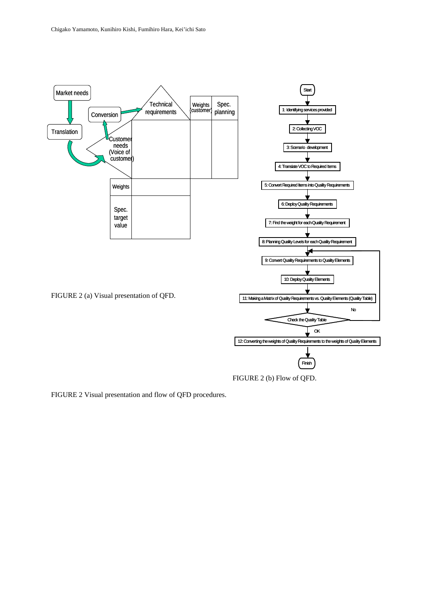

FIGURE 2 Visual presentation and flow of QFD procedures.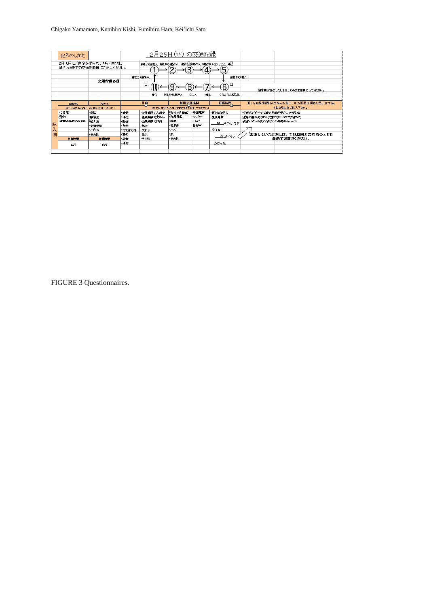Chigako Yamamoto, Kunihiro Kishi, Fumihiro Hara, Kei'ichi Sato

|   | 記入のしかた     |                                               |        |                                         | - 2月25日(水) の交通記録       |           |                |                         |                                |
|---|------------|-----------------------------------------------|--------|-----------------------------------------|------------------------|-----------|----------------|-------------------------|--------------------------------|
|   |            | 2月10日にご自宅を出られてからご自宅に<br>帰られるまでの交通を順番にご記入ください。 |        | 日でから合社へ、会社からの紹介へ、人気行気を焼けて、も焼けからコンピュへ、外見 |                        |           |                |                         |                                |
|   |            | 交通行動の例                                        |        | 会社から自宅へ                                 |                        |           | 会社からに社へ        |                         |                                |
|   |            |                                               |        | □<br>90                                 |                        |           | □<br>6         |                         | 国答柄があまったときは、そのまま翌期にしてください。     |
|   |            |                                               |        | 州社                                      | D社から制造へ                | 州社<br>D社へ | C社から文庫見店/      |                         |                                |
|   |            |                                               |        |                                         |                        |           |                |                         |                                |
|   | 出盘地        | 行き先                                           |        | 目的                                      | 利用交通機関                 |           | 所要時間           |                         | 夏よりも多く時間がかかった方は、その原因は何だと思いますか。 |
|   |            | 【当てはまるものひとつに 口を付けてください】                       |        |                                         | (当てはまるものすべてに0を付けてくたさい) |           |                |                         | (主な理由をご記入下さい。)                 |
|   | トご自宅       | 会社                                            | • 温香   | ・金融銀刷で入出金 下会社の自動車                       |                        | ・略面電車     | ・夏と任任国と        | ・交差点がすべって重の発達が遅くて、放浪した。 |                                |
|   | (後社        | 便客走                                           | 栅杜     | ・金融規模 で文括い                              | 自我用忙                   | トタクシー     | ・夏は選集          | ・道路の槽が逆く車が交差できせいので洗濯した。 |                                |
|   | ・血肉の移動の行を先 | 地入海                                           | -52.32 | ・金融細菌で相談                                | -鉄根                    | ・バイク      |                | ・長道がすべりやすく長くのに段階がかかった。  |                                |
| 記 |            | 全限規則                                          | 发票     | $-31.45$                                | 出下映                    | 自缺菌       | 18 分くらいたが      |                         |                                |
|   |            | ・ご自宅                                          | ドロち合わせ | ・文格い                                    | ・バス                    |           | 今日仕            |                         |                                |
| 入 |            | ・その也                                          | 医微     | 化入                                      | ٠R                     |           |                |                         | ^渋津していたときには、その原因と思われることも       |
| 例 | 出先時間       | 到着时间                                          | ·巫金    | ・その性                                    | その也                    |           | <b>28 分くらい</b> |                         | 含めてお書きください。                    |
|   | 9:80       | 9.33                                          | 珊瑚     |                                         |                        |           | かかった           |                         |                                |

FIGURE 3 Questionnaires.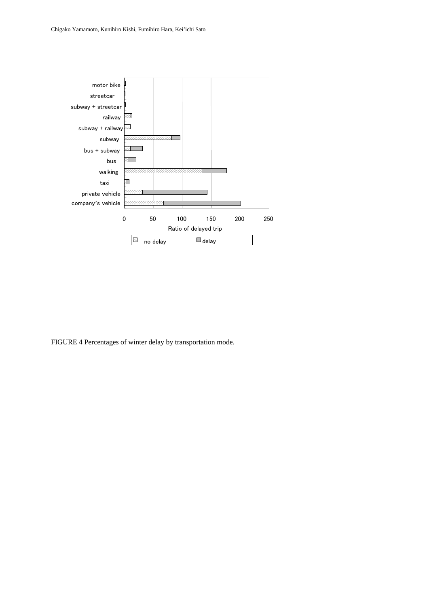

FIGURE 4 Percentages of winter delay by transportation mode.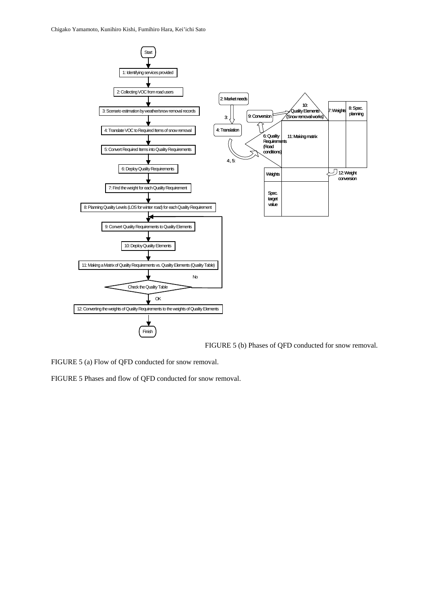Chigako Yamamoto, Kunihiro Kishi, Fumihiro Hara, Kei'ichi Sato



FIGURE 5 (b) Phases of QFD conducted for snow removal.

FIGURE 5 (a) Flow of QFD conducted for snow removal.

FIGURE 5 Phases and flow of QFD conducted for snow removal.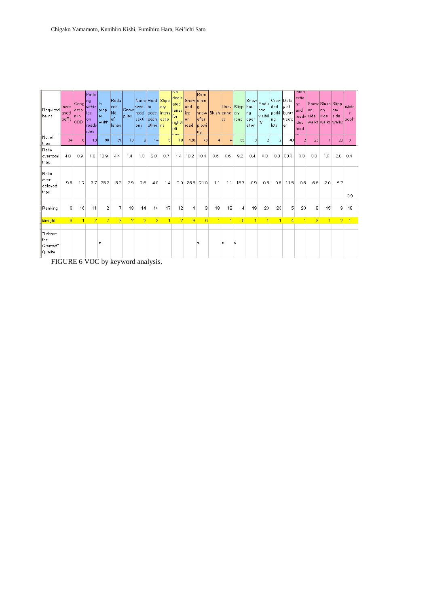| Required<br>Items                      | Incre<br>ased<br>traffic | Cong <br>estio<br>In in<br>Ісво | Parki<br>Ing<br>lvehic.<br>lles<br>lon<br>roads<br>lides | IIn.<br><b>prop</b><br>ler:<br>width | Redu<br>lced<br>INo.<br>lof<br>llanes | Snow<br><b>piles</b> | Narro Hard Slipp<br>lwedi<br>Iroad<br>lsecti<br>lons | lto.<br>pass<br>each ectio<br>other ns | ery<br>inters  | NO<br>dedic<br>ated<br>lanes<br>lfor<br>right/l<br>left | Snow ainin<br>land<br>lice<br>lon.<br>Iroad | Rem<br>l g<br>snow Slush enne<br>lafter<br>Iplowi<br> ng |                | ss. | Unev Slipp hauli<br>ery<br>Iroad | Ing<br>oper.<br>ation | Snow Redu<br>lced<br>visibil<br>ity | Crow Dela<br> ded<br>parki bus/s<br>Ing<br>llots | ly of<br>treetc<br>lаг | <b>Inters</b><br>lectio<br>Ins.<br>land<br>troads side<br>lides<br>lhard | Snow Slush Slipp<br>lon.<br>lwaiks lwaiks lwaiks | lon<br> side   | lerv.<br> side | <b>Wate</b><br>pools |  |
|----------------------------------------|--------------------------|---------------------------------|----------------------------------------------------------|--------------------------------------|---------------------------------------|----------------------|------------------------------------------------------|----------------------------------------|----------------|---------------------------------------------------------|---------------------------------------------|----------------------------------------------------------|----------------|-----|----------------------------------|-----------------------|-------------------------------------|--------------------------------------------------|------------------------|--------------------------------------------------------------------------|--------------------------------------------------|----------------|----------------|----------------------|--|
| No. of<br>trips                        | 34                       | 6                               | 13                                                       | 98                                   | 31                                    | 10                   | 9                                                    | 14                                     | 5              | 10                                                      | 128                                         | 73                                                       | 4              | Δ   | 65                               | 3                     | 2                                   | $\overline{2}$                                   | 40                     | $\overline{2}$                                                           | 23                                               | $\overline{7}$ | 20             | 3                    |  |
| Ratio<br>over total<br>trips           | 4.8                      | 0.9                             | 1.8                                                      | 13.9                                 | 4.4                                   | 1.4                  | 1.3                                                  | 2.0                                    | 0.7            | 1.4                                                     | 18.2                                        | 10.4                                                     | 0.6            | 0.6 | 9.2                              | 0.4                   | 0.3                                 | 0.3 <sub>1</sub>                                 | 33.0                   | 0.3                                                                      | 3.3                                              | 1.0            | 2.8            | 0.4                  |  |
| Ratio<br>over<br>delayed<br>trips      | 9.8                      | 1.7                             | 3.7 <sup>1</sup>                                         | 28.2                                 | 8.9                                   | 2.9                  | 2.6                                                  | 4.0                                    | 1.4            | 2.9                                                     | 36.8                                        | 21.0                                                     | 1.1            | 1.1 | 18.7                             | 0.9                   | 0.6                                 | 0.6                                              | 11.5                   | 0.6                                                                      | 6.6                                              | 2.0            | 5.7            | 0.9                  |  |
| Ranking                                | 6                        | 16                              | 11                                                       | 2                                    | 7                                     | 13                   | 14                                                   | 10                                     | 17             | 12                                                      | 1                                           | 3                                                        | 18             | 18  | 4                                | 19                    | 20                                  | 20                                               | 5                      | 20                                                                       | 8                                                | 15             | 9              | 18                   |  |
|                                        |                          |                                 |                                                          |                                      |                                       |                      |                                                      |                                        |                |                                                         |                                             |                                                          |                |     |                                  |                       |                                     |                                                  |                        |                                                                          |                                                  |                |                |                      |  |
| Weight                                 | 3                        | $\overline{1}$                  | $\overline{2}$                                           | $\overline{7}$                       | 3                                     | $\overline{2}$       | $\overline{2}$                                       | $\overline{2}$                         | $\overline{1}$ | $\overline{2}$                                          | $\overline{9}$                              | 6                                                        | $\overline{1}$ | 1   | 5                                | $\overline{1}$        | 1                                   | $\overline{1}$                                   | 4                      | $\overline{1}$                                                           | 3                                                | $\overline{1}$ | $\overline{2}$ | $\overline{1}$       |  |
| "Taken-<br>for-<br>Granted"<br>Quality |                          |                                 |                                                          | $\bullet$                            |                                       |                      |                                                      |                                        |                |                                                         |                                             | $\bullet$                                                |                | O   | $\Theta$                         |                       |                                     |                                                  |                        |                                                                          |                                                  |                |                |                      |  |

FIGURE 6 VOC by keyword analysis.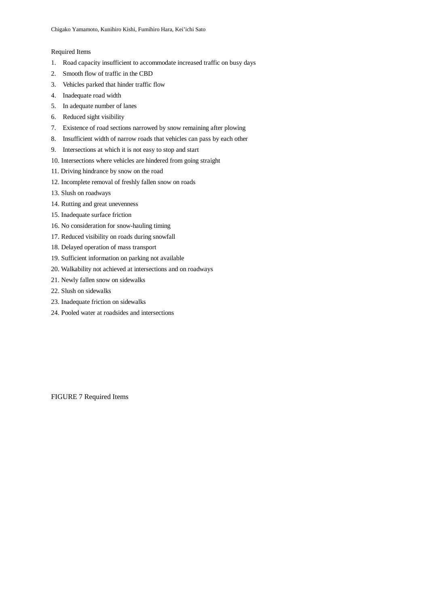#### Required Items

- 1. Road capacity insufficient to accommodate increased traffic on busy days
- 2. Smooth flow of traffic in the CBD
- 3. Vehicles parked that hinder traffic flow
- 4. Inadequate road width
- 5. In adequate number of lanes
- 6. Reduced sight visibility
- 7. Existence of road sections narrowed by snow remaining after plowing
- 8. Insufficient width of narrow roads that vehicles can pass by each other
- 9. Intersections at which it is not easy to stop and start
- 10. Intersections where vehicles are hindered from going straight
- 11. Driving hindrance by snow on the road
- 12. Incomplete removal of freshly fallen snow on roads
- 13. Slush on roadways
- 14. Rutting and great unevenness
- 15. Inadequate surface friction
- 16. No consideration for snow-hauling timing
- 17. Reduced visibility on roads during snowfall
- 18. Delayed operation of mass transport
- 19. Sufficient information on parking not available
- 20. Walkability not achieved at intersections and on roadways
- 21. Newly fallen snow on sidewalks
- 22. Slush on sidewalks
- 23. Inadequate friction on sidewalks
- 24. Pooled water at roadsides and intersections

FIGURE 7 Required Items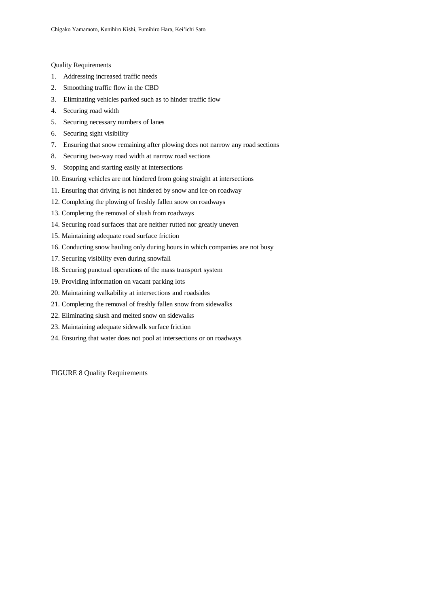Quality Requirements

- 1. Addressing increased traffic needs
- 2. Smoothing traffic flow in the CBD
- 3. Eliminating vehicles parked such as to hinder traffic flow
- 4. Securing road width
- 5. Securing necessary numbers of lanes
- 6. Securing sight visibility
- 7. Ensuring that snow remaining after plowing does not narrow any road sections
- 8. Securing two-way road width at narrow road sections
- 9. Stopping and starting easily at intersections
- 10. Ensuring vehicles are not hindered from going straight at intersections
- 11. Ensuring that driving is not hindered by snow and ice on roadway
- 12. Completing the plowing of freshly fallen snow on roadways
- 13. Completing the removal of slush from roadways
- 14. Securing road surfaces that are neither rutted nor greatly uneven
- 15. Maintaining adequate road surface friction
- 16. Conducting snow hauling only during hours in which companies are not busy
- 17. Securing visibility even during snowfall
- 18. Securing punctual operations of the mass transport system
- 19. Providing information on vacant parking lots
- 20. Maintaining walkability at intersections and roadsides
- 21. Completing the removal of freshly fallen snow from sidewalks
- 22. Eliminating slush and melted snow on sidewalks
- 23. Maintaining adequate sidewalk surface friction
- 24. Ensuring that water does not pool at intersections or on roadways

FIGURE 8 Quality Requirements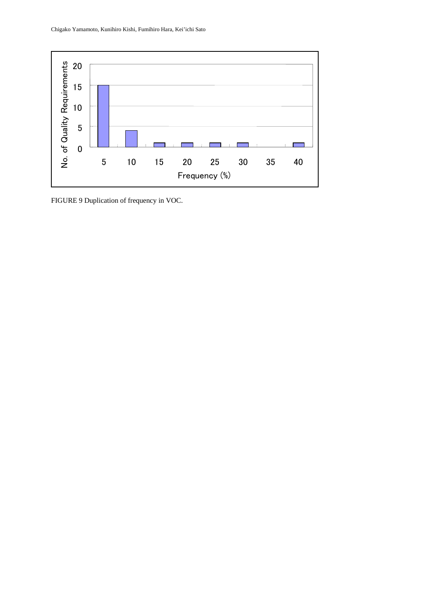

FIGURE 9 Duplication of frequency in VOC.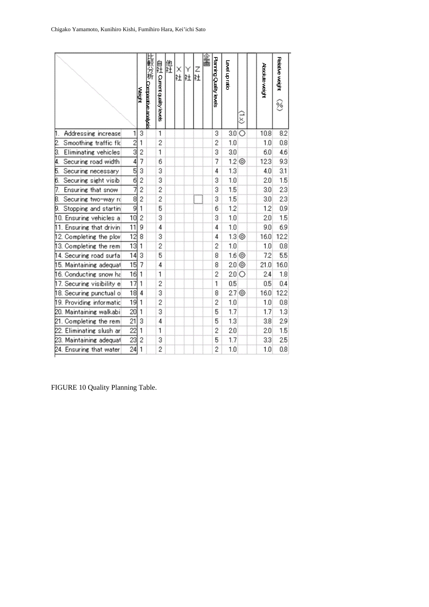|                             |                           | <b>Weight</b>  | 比較分析 Comparative analysis | 自社 Current quality levels | 他社 | X<br>X Y<br>社社 | Z<br>社 | 企画 | Planning Quality levels | Level up ratio     | š | Absolute weight | Relative weight<br>$\hat{\mathcal{C}}$ |
|-----------------------------|---------------------------|----------------|---------------------------|---------------------------|----|----------------|--------|----|-------------------------|--------------------|---|-----------------|----------------------------------------|
| Addressing increase<br>Π.   | 1                         | 3              |                           | 1                         |    |                |        |    | 3                       | $3.0$ $\circ$      |   | 10.8            | 8.2                                    |
| 2.<br>Smoothing traffic flo | $\overline{2}$            | 1              |                           | $\overline{c}$            |    |                |        |    | $\overline{c}$          | 1.0                |   | 1.0             | 0.8                                    |
| Eliminating vehicles<br>3.  | $\overline{\overline{3}}$ | 2              |                           | 1                         |    |                |        |    | 3                       | 3.0                |   | 6.0             | 4.6                                    |
| 4.<br>Securing road width   | 4                         | 7              |                           | 6                         |    |                |        |    | 7                       | 12@                |   | 12.3            | 9.3                                    |
| Securing necessary<br>5.    | 5                         | 3              |                           | 3                         |    |                |        |    | 4                       | 1.3                |   | 4.0             | 3.1                                    |
| Securing sight visib<br>6.  | $\overline{6}$            | $\overline{2}$ |                           | 3                         |    |                |        |    | 3                       | 1.0                |   | 2.0             | 1.5                                    |
| Ensuring that snow<br>7.    | 7                         | $\overline{2}$ |                           | $\overline{c}$            |    |                |        |    | 3                       | 1.5                |   | 3.0             | 23                                     |
| 8.<br>Securing two-way rd   | $\overline{8}$            | 2              |                           | 2                         |    |                |        |    | 3                       | 1.5                |   | 3.0             | 2.3                                    |
| Stopping and startin<br>9.  | 9                         | 1              |                           | 5                         |    |                |        |    | 6                       | 1.2                |   | 1.2             | 0.9                                    |
| 10. Ensuring vehicles a     | 10                        | $\overline{2}$ |                           | 3                         |    |                |        |    | 3                       | 1.0                |   | 2.0             | 1.5                                    |
| 11. Ensuring that drivin    | 11                        | 9              |                           | 4                         |    |                |        |    | 4                       | 1.0                |   | 9.0             | 6.9                                    |
| 12. Completing the plov     | $\overline{12}$           | 8              |                           | 3                         |    |                |        |    | 4                       | $1.3$ <sup>O</sup> |   | 16.0            | 12.2                                   |
| 13. Completing the rem      | 13                        | 1              |                           | $\overline{c}$            |    |                |        |    | 2                       | 1.0                |   | 1.0             | 0.8                                    |
| 14. Securing road surfa     | 14                        | 3              |                           | 5                         |    |                |        |    | 8                       | 1.6 <sup>o</sup>   |   | 7.2             | 5.5                                    |
| 15. Maintaining adequat     | 15                        | 7              |                           | 4                         |    |                |        |    | 8                       | 2.0 <sup>o</sup>   |   | 21.0            | 16.0                                   |
| 16. Conducting snow ha      | 16                        | 1              |                           | 1                         |    |                |        |    | $\overline{2}$          | $20$ O             |   | 2.4             | 1.8                                    |
| 17. Securing visibility e   | 17                        | 1              |                           | $\overline{c}$            |    |                |        |    | $\overline{\mathbf{1}}$ | 0.5                |   | 0.5             | 0.4                                    |
| 18. Securing punctual o     | 18                        | 4              |                           | 3                         |    |                |        |    | 8                       | $2.7\circledcirc$  |   | 16.0            | 12.2                                   |
| 19. Providing informatic    | 19                        | 1              |                           | $\overline{2}$            |    |                |        |    | 2                       | 1.0                |   | 1.0             | 0.8                                    |
| 20. Maintaining walkabi     | $\overline{20}$           | 1              |                           | 3                         |    |                |        |    | 5                       | 1.7                |   | 1.7             | 1.3                                    |
| 21. Completing the rem      | 21                        | 3              |                           | 4                         |    |                |        |    | 5                       | 1.3                |   | 3.8             | 2.9                                    |
| 22. Eliminating slush ar    | $\overline{22}$           | 1              |                           | 1                         |    |                |        |    | 2                       | 2.0                |   | 2.0             | 1.5                                    |
| 23. Maintaining adequat     | 23                        | 2              |                           | 3                         |    |                |        |    | 5                       | 1.7                |   | 3.3             | 2.5                                    |
| 24. Ensuring that water     | $\overline{24}$           | 1              |                           | $\overline{2}$            |    |                |        |    | $\overline{2}$          | 1.0                |   | 1.0             | 0.8                                    |

FIGURE 10 Quality Planning Table.